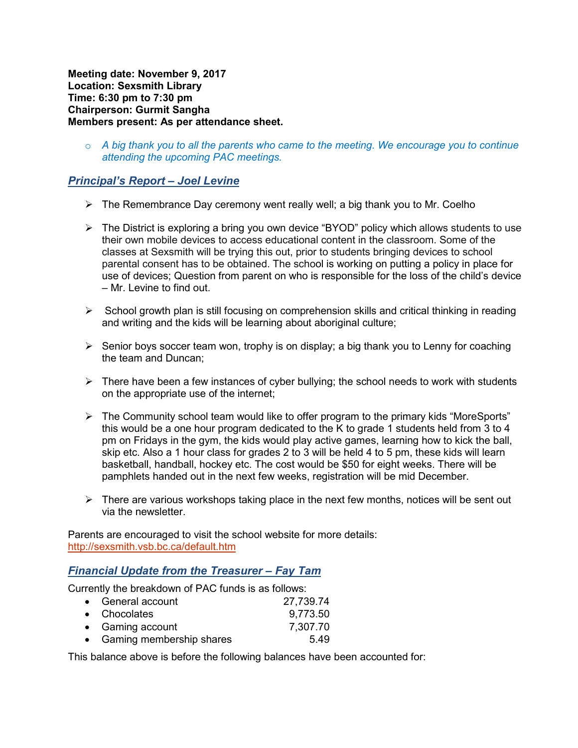**Meeting date: November 9, 2017 Location: Sexsmith Library Time: 6:30 pm to 7:30 pm Chairperson: Gurmit Sangha Members present: As per attendance sheet.** 

o *A big thank you to all the parents who came to the meeting. We encourage you to continue attending the upcoming PAC meetings.* 

# *Principal's Report – Joel Levine*

- $\triangleright$  The Remembrance Day ceremony went really well; a big thank you to Mr. Coelho
- The District is exploring a bring you own device "BYOD" policy which allows students to use their own mobile devices to access educational content in the classroom. Some of the classes at Sexsmith will be trying this out, prior to students bringing devices to school parental consent has to be obtained. The school is working on putting a policy in place for use of devices; Question from parent on who is responsible for the loss of the child's device – Mr. Levine to find out.
- $\triangleright$  School growth plan is still focusing on comprehension skills and critical thinking in reading and writing and the kids will be learning about aboriginal culture;
- $\triangleright$  Senior boys soccer team won, trophy is on display; a big thank you to Lenny for coaching the team and Duncan;
- $\triangleright$  There have been a few instances of cyber bullying; the school needs to work with students on the appropriate use of the internet;
- $\triangleright$  The Community school team would like to offer program to the primary kids "MoreSports" this would be a one hour program dedicated to the K to grade 1 students held from 3 to 4 pm on Fridays in the gym, the kids would play active games, learning how to kick the ball, skip etc. Also a 1 hour class for grades 2 to 3 will be held 4 to 5 pm, these kids will learn basketball, handball, hockey etc. The cost would be \$50 for eight weeks. There will be pamphlets handed out in the next few weeks, registration will be mid December.
- $\triangleright$  There are various workshops taking place in the next few months, notices will be sent out via the newsletter.

Parents are encouraged to visit the school website for more details: http://sexsmith.vsb.bc.ca/default.htm

## *Financial Update from the Treasurer – Fay Tam*

Currently the breakdown of PAC funds is as follows:

| • General account          | 27,739.74 |
|----------------------------|-----------|
| • Chocolates               | 9,773.50  |
| • Gaming account           | 7,307.70  |
| • Gaming membership shares | 5.49      |
|                            |           |

This balance above is before the following balances have been accounted for: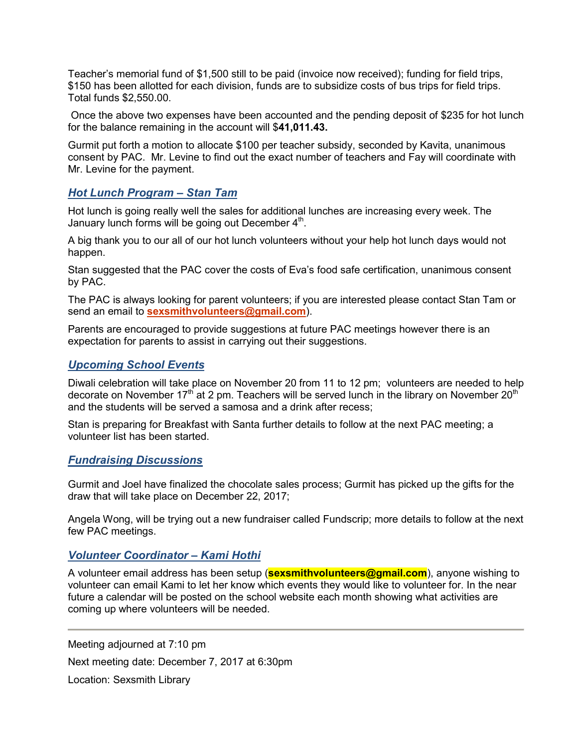Teacher's memorial fund of \$1,500 still to be paid (invoice now received); funding for field trips, \$150 has been allotted for each division, funds are to subsidize costs of bus trips for field trips. Total funds \$2,550.00.

 Once the above two expenses have been accounted and the pending deposit of \$235 for hot lunch for the balance remaining in the account will \$**41,011.43.**

Gurmit put forth a motion to allocate \$100 per teacher subsidy, seconded by Kavita, unanimous consent by PAC. Mr. Levine to find out the exact number of teachers and Fay will coordinate with Mr. Levine for the payment.

### *Hot Lunch Program – Stan Tam*

Hot lunch is going really well the sales for additional lunches are increasing every week. The January lunch forms will be going out December  $4<sup>th</sup>$ .

A big thank you to our all of our hot lunch volunteers without your help hot lunch days would not happen.

Stan suggested that the PAC cover the costs of Eva's food safe certification, unanimous consent by PAC.

The PAC is always looking for parent volunteers; if you are interested please contact Stan Tam or send an email to **sexsmithvolunteers@gmail.com**).

Parents are encouraged to provide suggestions at future PAC meetings however there is an expectation for parents to assist in carrying out their suggestions.

### *Upcoming School Events*

Diwali celebration will take place on November 20 from 11 to 12 pm; volunteers are needed to help decorate on November  $17<sup>th</sup>$  at 2 pm. Teachers will be served lunch in the library on November 20<sup>th</sup> and the students will be served a samosa and a drink after recess;

Stan is preparing for Breakfast with Santa further details to follow at the next PAC meeting; a volunteer list has been started.

## *Fundraising Discussions*

Gurmit and Joel have finalized the chocolate sales process; Gurmit has picked up the gifts for the draw that will take place on December 22, 2017;

Angela Wong, will be trying out a new fundraiser called Fundscrip; more details to follow at the next few PAC meetings.

## *Volunteer Coordinator – Kami Hothi*

A volunteer email address has been setup (**sexsmithvolunteers@gmail.com**), anyone wishing to volunteer can email Kami to let her know which events they would like to volunteer for. In the near future a calendar will be posted on the school website each month showing what activities are coming up where volunteers will be needed.

Meeting adjourned at 7:10 pm Next meeting date: December 7, 2017 at 6:30pm Location: Sexsmith Library